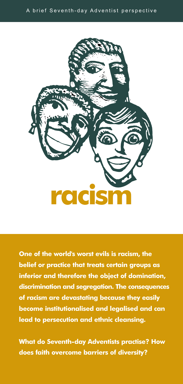

**One of the world's worst evils is racism, the belief or practice that treats certain groups as inferior and therefore the object of domination, discrimination and segregation. The consequences of racism are devastating because they easily become institutionalised and legalised and can lead to persecution and ethnic cleansing.**

**What do Seventh-day Adventists practise? How does faith overcome barriers of diversity?**